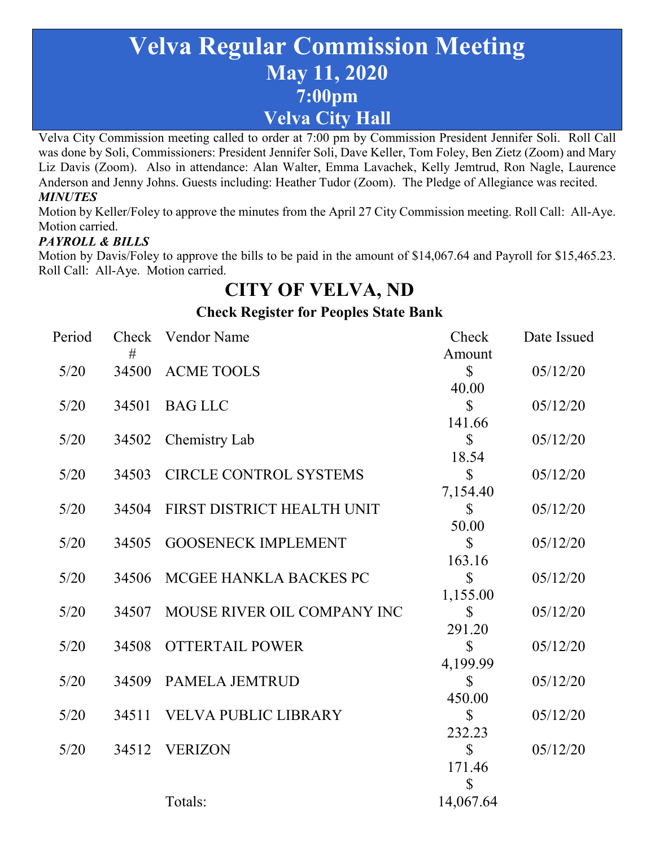# **Velva Regular Commission Meeting May 11, 2020 7:00pm Velva City Hall**

Velva City Commission meeting called to order at 7:00 pm by Commission President Jennifer Soli. Roll Call was done by Soli, Commissioners: President Jennifer Soli, Dave Keller, Tom Foley, Ben Zietz (Zoom) and Mary Liz Davis (Zoom). Also in attendance: Alan Walter, Emma Lavachek, Kelly Jemtrud, Ron Nagle, Laurence Anderson and Jenny Johns. Guests including: Heather Tudor (Zoom). The Pledge of Allegiance was recited. *MINUTES*

Motion by Keller/Foley to approve the minutes from the April 27 City Commission meeting. Roll Call: All-Aye. Motion carried.

#### *PAYROLL & BILLS*

Motion by Davis/Foley to approve the bills to be paid in the amount of \$14,067.64 and Payroll for \$15,465.23. Roll Call: All-Aye. Motion carried.

# **CITY OF VELVA, ND**

**Check Register for Peoples State Bank**

| Period |       | Check Vendor Name             | Check         | Date Issued |
|--------|-------|-------------------------------|---------------|-------------|
|        | #     |                               | Amount        |             |
| $5/20$ | 34500 | ACME TOOLS                    | $\mathcal{S}$ | 05/12/20    |
|        |       |                               | 40.00         |             |
| 5/20   | 34501 | <b>BAG LLC</b>                | $\mathbb{S}$  | 05/12/20    |
|        |       |                               | 141.66        |             |
| 5/20   | 34502 | Chemistry Lab                 | $\mathbb{S}$  | 05/12/20    |
|        |       |                               | 18.54         |             |
| 5/20   | 34503 | <b>CIRCLE CONTROL SYSTEMS</b> | $\mathbb{S}$  | 05/12/20    |
|        |       |                               | 7,154.40      |             |
| 5/20   | 34504 | FIRST DISTRICT HEALTH UNIT    | $\mathbb{S}$  | 05/12/20    |
|        |       |                               | 50.00         |             |
| 5/20   | 34505 | <b>GOOSENECK IMPLEMENT</b>    | $\mathbb{S}$  | 05/12/20    |
|        |       |                               | 163.16        |             |
| $5/20$ | 34506 | MCGEE HANKLA BACKES PC        | $\mathbb{S}$  | 05/12/20    |
|        |       |                               | 1,155.00      |             |
| 5/20   | 34507 | MOUSE RIVER OIL COMPANY INC   | $\mathbb{S}$  | 05/12/20    |
|        |       |                               | 291.20        |             |
| 5/20   | 34508 | <b>OTTERTAIL POWER</b>        | $\mathbb{S}$  | 05/12/20    |
|        |       |                               | 4,199.99      |             |
| $5/20$ | 34509 | PAMELA JEMTRUD                | $\mathbb{S}$  | 05/12/20    |
|        |       |                               | 450.00        |             |
| 5/20   | 34511 | <b>VELVA PUBLIC LIBRARY</b>   | $\mathbb{S}$  | 05/12/20    |
|        |       |                               | 232.23        |             |
| 5/20   | 34512 | <b>VERIZON</b>                | $\mathbb{S}$  | 05/12/20    |
|        |       |                               | 171.46        |             |
|        |       |                               | $\mathbb{S}$  |             |
|        |       | Totals:                       | 14,067.64     |             |
|        |       |                               |               |             |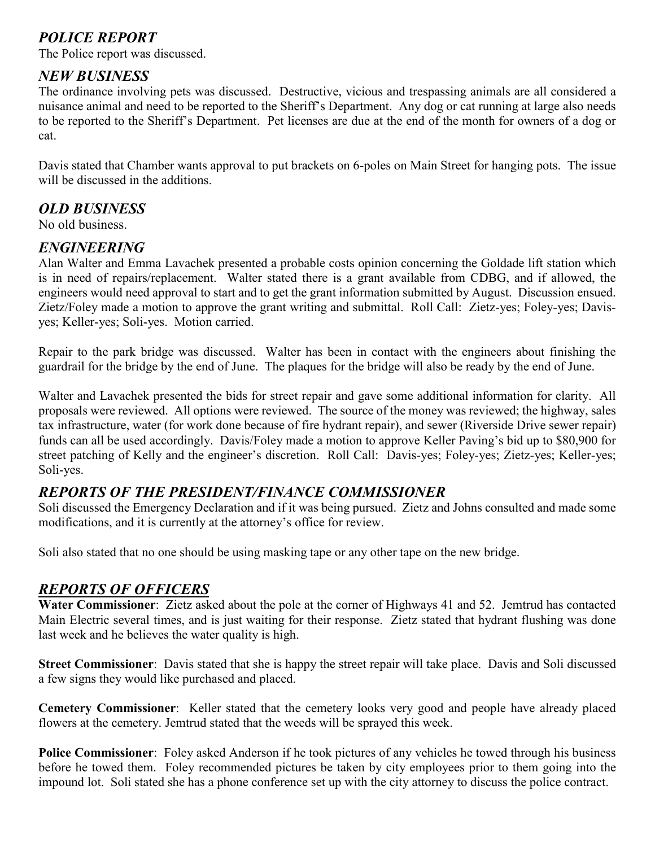# *POLICE REPORT*

The Police report was discussed.

#### *NEW BUSINESS*

The ordinance involving pets was discussed. Destructive, vicious and trespassing animals are all considered a nuisance animal and need to be reported to the Sheriff's Department. Any dog or cat running at large also needs to be reported to the Sheriff's Department. Pet licenses are due at the end of the month for owners of a dog or cat.

Davis stated that Chamber wants approval to put brackets on 6-poles on Main Street for hanging pots. The issue will be discussed in the additions.

#### *OLD BUSINESS*

No old business.

#### *ENGINEERING*

Alan Walter and Emma Lavachek presented a probable costs opinion concerning the Goldade lift station which is in need of repairs/replacement. Walter stated there is a grant available from CDBG, and if allowed, the engineers would need approval to start and to get the grant information submitted by August. Discussion ensued. Zietz/Foley made a motion to approve the grant writing and submittal. Roll Call: Zietz-yes; Foley-yes; Davisyes; Keller-yes; Soli-yes. Motion carried.

Repair to the park bridge was discussed. Walter has been in contact with the engineers about finishing the guardrail for the bridge by the end of June. The plaques for the bridge will also be ready by the end of June.

Walter and Lavachek presented the bids for street repair and gave some additional information for clarity. All proposals were reviewed. All options were reviewed. The source of the money was reviewed; the highway, sales tax infrastructure, water (for work done because of fire hydrant repair), and sewer (Riverside Drive sewer repair) funds can all be used accordingly. Davis/Foley made a motion to approve Keller Paving's bid up to \$80,900 for street patching of Kelly and the engineer's discretion. Roll Call: Davis-yes; Foley-yes; Zietz-yes; Keller-yes; Soli-yes.

#### *REPORTS OF THE PRESIDENT/FINANCE COMMISSIONER*

Soli discussed the Emergency Declaration and if it was being pursued. Zietz and Johns consulted and made some modifications, and it is currently at the attorney's office for review.

Soli also stated that no one should be using masking tape or any other tape on the new bridge.

#### *REPORTS OF OFFICERS*

**Water Commissioner**: Zietz asked about the pole at the corner of Highways 41 and 52. Jemtrud has contacted Main Electric several times, and is just waiting for their response. Zietz stated that hydrant flushing was done last week and he believes the water quality is high.

**Street Commissioner**: Davis stated that she is happy the street repair will take place. Davis and Soli discussed a few signs they would like purchased and placed.

**Cemetery Commissioner**: Keller stated that the cemetery looks very good and people have already placed flowers at the cemetery. Jemtrud stated that the weeds will be sprayed this week.

**Police Commissioner**: Foley asked Anderson if he took pictures of any vehicles he towed through his business before he towed them. Foley recommended pictures be taken by city employees prior to them going into the impound lot. Soli stated she has a phone conference set up with the city attorney to discuss the police contract.